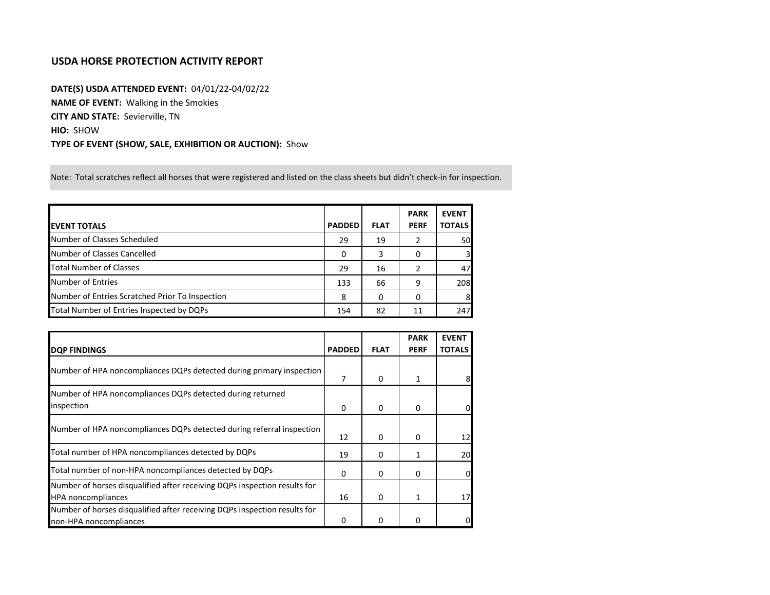## **USDA HORSE PROTECTION ACTIVITY REPORT**

**DATE(S) USDA ATTENDED EVENT:** 04/01/22-04/02/22 **NAME OF EVENT:** Walking in the Smokies **CITY AND STATE:** Sevierville, TN **HIO:** SHOW **TYPE OF EVENT (SHOW, SALE, EXHIBITION OR AUCTION):** Show

Note: Total scratches reflect all horses that were registered and listed on the class sheets but didn't check-in for inspection.

|                                                 |               |             | <b>PARK</b> | <b>EVENT</b>  |
|-------------------------------------------------|---------------|-------------|-------------|---------------|
| <b>EVENT TOTALS</b>                             | <b>PADDED</b> | <b>FLAT</b> | <b>PERF</b> | <b>TOTALS</b> |
| Number of Classes Scheduled                     | 29            | 19          |             | 50            |
| Number of Classes Cancelled                     | 0             | 3           | 0           | 3             |
| Total Number of Classes                         | 29            | 16          |             | 47            |
| Number of Entries                               | 133           | 66          | 9           | 208           |
| Number of Entries Scratched Prior To Inspection | 8             | 0           | $\Omega$    | 8             |
| Total Number of Entries Inspected by DQPs       | 154           | 82          | 11          | 247           |

|                                                                           |               |             | <b>PARK</b> | <b>EVENT</b>  |
|---------------------------------------------------------------------------|---------------|-------------|-------------|---------------|
| <b>DQP FINDINGS</b>                                                       | <b>PADDED</b> | <b>FLAT</b> | <b>PERF</b> | <b>TOTALS</b> |
| Number of HPA noncompliances DQPs detected during primary inspection      | 7             | 0           | 1           |               |
| Number of HPA noncompliances DQPs detected during returned                |               |             |             |               |
| inspection                                                                | 0             | 0           | $\Omega$    | 01            |
| Number of HPA noncompliances DQPs detected during referral inspection     |               |             |             |               |
|                                                                           | 12            | $\Omega$    | $\Omega$    | 12            |
| Total number of HPA noncompliances detected by DQPs                       | 19            | 0           | 1           | 20            |
| Total number of non-HPA noncompliances detected by DQPs                   | 0             | 0           | 0           |               |
| Number of horses disqualified after receiving DQPs inspection results for |               |             |             |               |
| <b>HPA</b> noncompliances                                                 | 16            | $\Omega$    | 1           | 17            |
| Number of horses disqualified after receiving DQPs inspection results for |               |             |             |               |
| non-HPA noncompliances                                                    |               | 0           |             |               |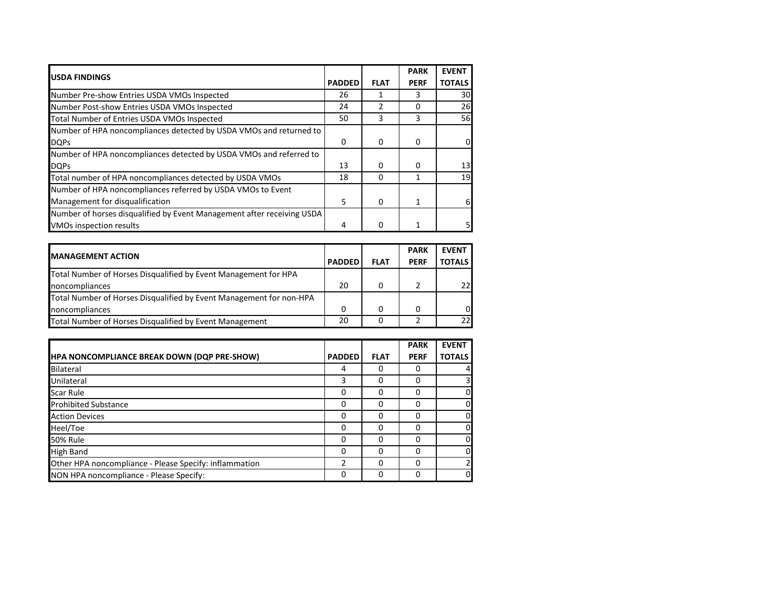| <b>USDA FINDINGS</b>                                                   |               |             | <b>PARK</b> | <b>EVENT</b>  |
|------------------------------------------------------------------------|---------------|-------------|-------------|---------------|
|                                                                        | <b>PADDED</b> | <b>FLAT</b> | <b>PERF</b> | <b>TOTALS</b> |
| Number Pre-show Entries USDA VMOs Inspected                            | 26            |             | 3           | 30            |
| Number Post-show Entries USDA VMOs Inspected                           | 24            | 2           |             | 26            |
| Total Number of Entries USDA VMOs Inspected                            | 50            | 3           | 3           | 56            |
| Number of HPA noncompliances detected by USDA VMOs and returned to     |               |             |             |               |
| <b>DQPs</b>                                                            | 0             | 0           | 0           | 0             |
| Number of HPA noncompliances detected by USDA VMOs and referred to     |               |             |             |               |
| <b>DQPs</b>                                                            | 13            | 0           | 0           | 13            |
| Total number of HPA noncompliances detected by USDA VMOs               | 18            | $\Omega$    |             | 19            |
| Number of HPA noncompliances referred by USDA VMOs to Event            |               |             |             |               |
| Management for disqualification                                        | 5             | 0           |             | 61            |
| Number of horses disqualified by Event Management after receiving USDA |               |             |             |               |
| <b>VMOs inspection results</b>                                         | 4             | 0           |             |               |

| <b>IMANAGEMENT ACTION</b>                                           |               |             | <b>PARK</b> | <b>EVENT</b>  |
|---------------------------------------------------------------------|---------------|-------------|-------------|---------------|
|                                                                     | <b>PADDED</b> | <b>FLAT</b> | <b>PERF</b> | <b>TOTALS</b> |
| Total Number of Horses Disqualified by Event Management for HPA     |               |             |             |               |
| noncompliances                                                      | 20            | 0           |             | 221           |
| Total Number of Horses Disqualified by Event Management for non-HPA |               |             |             |               |
| noncompliances                                                      | 0             | 0           |             | ΟI            |
| Total Number of Horses Disqualified by Event Management             | 20            |             |             | 221           |

|                                                        |               |             | <b>PARK</b> | <b>EVENT</b>            |
|--------------------------------------------------------|---------------|-------------|-------------|-------------------------|
| <b>HPA NONCOMPLIANCE BREAK DOWN (DQP PRE-SHOW)</b>     | <b>PADDED</b> | <b>FLAT</b> | <b>PERF</b> | <b>TOTALS</b>           |
| Bilateral                                              | 4             | 0           | O           | 4                       |
| Unilateral                                             | 3             | 0           | Ω           | $\overline{\mathsf{S}}$ |
| <b>Scar Rule</b>                                       | 0             | 0           | 0           | $\mathbf{0}$            |
| <b>Prohibited Substance</b>                            | 0             | 0           | 0           | $\overline{0}$          |
| <b>Action Devices</b>                                  | 0             | 0           | Ω           | $\overline{0}$          |
| Heel/Toe                                               | 0             | 0           | ი           | $\overline{0}$          |
| <b>50% Rule</b>                                        | 0             | 0           | 0           | $\overline{0}$          |
| <b>High Band</b>                                       | 0             | 0           | 0           | $\overline{0}$          |
| Other HPA noncompliance - Please Specify: inflammation | ว             | 0           | ი           | $\overline{2}$          |
| NON HPA noncompliance - Please Specify:                | 0             | 0           | 0           | $\overline{0}$          |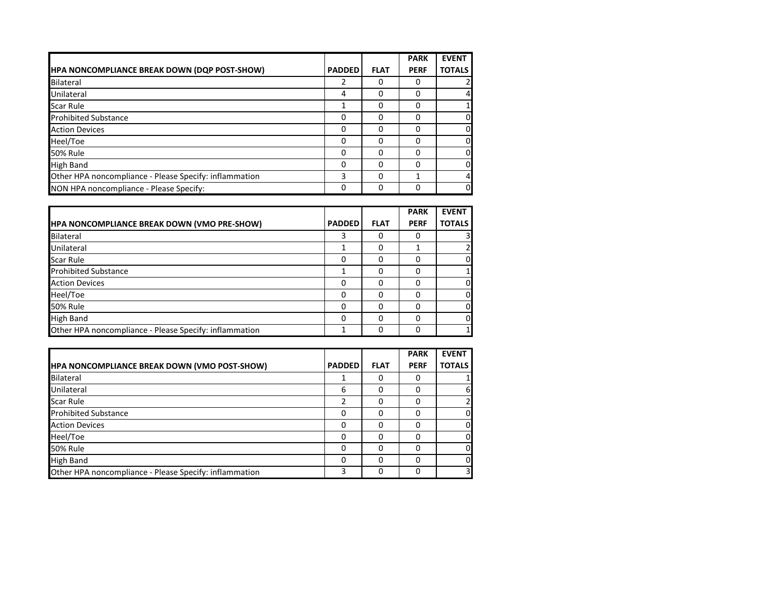|                                                        |               |             | <b>PARK</b> | <b>EVENT</b>  |
|--------------------------------------------------------|---------------|-------------|-------------|---------------|
| HPA NONCOMPLIANCE BREAK DOWN (DQP POST-SHOW)           | <b>PADDED</b> | <b>FLAT</b> | <b>PERF</b> | <b>TOTALS</b> |
| Bilateral                                              | 2             | 0           |             |               |
| Unilateral                                             | 4             | 0           | Ω           |               |
| <b>Scar Rule</b>                                       |               | 0           |             |               |
| <b>Prohibited Substance</b>                            | O             | O           |             |               |
| <b>Action Devices</b>                                  | $\Omega$      | 0           |             |               |
| Heel/Toe                                               | O             | O           |             |               |
| <b>50% Rule</b>                                        | 0             | O           |             |               |
| <b>High Band</b>                                       | <sup>0</sup>  | O           |             |               |
| Other HPA noncompliance - Please Specify: inflammation | 3             | 0           |             |               |
| NON HPA noncompliance - Please Specify:                | 0             | O           |             | 01            |

|                                                        |               |             | <b>PARK</b> | <b>EVENT</b>   |
|--------------------------------------------------------|---------------|-------------|-------------|----------------|
| <b>HPA NONCOMPLIANCE BREAK DOWN (VMO PRE-SHOW)</b>     | <b>PADDED</b> | <b>FLAT</b> | <b>PERF</b> | <b>TOTALS</b>  |
| Bilateral                                              | 3             |             |             | 3              |
| Unilateral                                             |               | 0           |             | $\overline{2}$ |
| <b>Scar Rule</b>                                       | 0             | 0           |             | 0              |
| <b>Prohibited Substance</b>                            |               | 0           |             |                |
| <b>Action Devices</b>                                  | 0             | O           |             | <sup>O</sup>   |
| Heel/Toe                                               | 0             | 0           |             | $\Omega$       |
| <b>50% Rule</b>                                        | 0             | 0           | O           | $\overline{0}$ |
| <b>High Band</b>                                       | 0             | O           | 0           | $\Omega$       |
| Other HPA noncompliance - Please Specify: inflammation |               | O           |             | 1              |

|                                                        |               |             | <b>PARK</b> | <b>EVENT</b>  |
|--------------------------------------------------------|---------------|-------------|-------------|---------------|
| <b>HPA NONCOMPLIANCE BREAK DOWN (VMO POST-SHOW)</b>    | <b>PADDED</b> | <b>FLAT</b> | <b>PERF</b> | <b>TOTALS</b> |
| Bilateral                                              |               |             |             |               |
| Unilateral                                             | 6             |             | 0           | 6             |
| Scar Rule                                              |               |             | ი           |               |
| <b>Prohibited Substance</b>                            | O             |             | 0           | 0             |
| <b>Action Devices</b>                                  | 0             |             | ი           | 0             |
| Heel/Toe                                               | 0             |             | ი           | 0             |
| <b>50% Rule</b>                                        | 0             |             | O           | 0             |
| <b>High Band</b>                                       | O             |             | ი           | 0             |
| Other HPA noncompliance - Please Specify: inflammation |               |             | ი           |               |